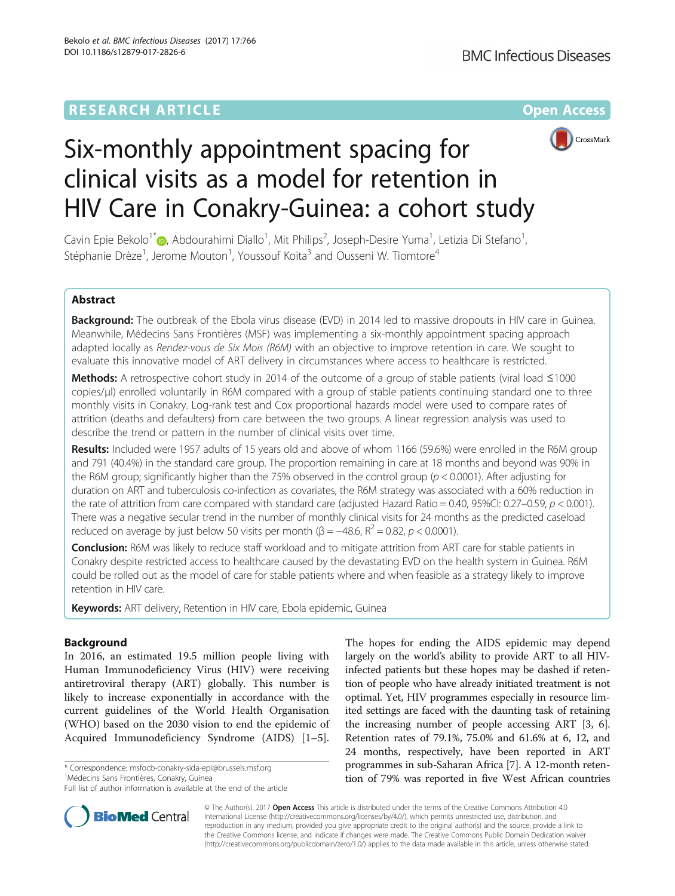

# Six-monthly appointment spacing for clinical visits as a model for retention in HIV Care in Conakry-Guinea: a cohort study

Cavin Epie Bekolo<sup>1[\\*](http://orcid.org/0000-0002-9845-9842)</sup>©, Abdourahimi Diallo<sup>1</sup>, Mit Philips<sup>2</sup>, Joseph-Desire Yuma<sup>1</sup>, Letizia Di Stefano<sup>1</sup> , Stéphanie Drèze<sup>1</sup>, Jerome Mouton<sup>1</sup>, Youssouf Koita<sup>3</sup> and Ousseni W. Tiomtore<sup>4</sup>

# Abstract

Background: The outbreak of the Ebola virus disease (EVD) in 2014 led to massive dropouts in HIV care in Guinea. Meanwhile, Médecins Sans Frontières (MSF) was implementing a six-monthly appointment spacing approach adapted locally as Rendez-vous de Six Mois (R6M) with an objective to improve retention in care. We sought to evaluate this innovative model of ART delivery in circumstances where access to healthcare is restricted.

Methods: A retrospective cohort study in 2014 of the outcome of a group of stable patients (viral load ≤1000 copies/μl) enrolled voluntarily in R6M compared with a group of stable patients continuing standard one to three monthly visits in Conakry. Log-rank test and Cox proportional hazards model were used to compare rates of attrition (deaths and defaulters) from care between the two groups. A linear regression analysis was used to describe the trend or pattern in the number of clinical visits over time.

Results: Included were 1957 adults of 15 years old and above of whom 1166 (59.6%) were enrolled in the R6M group and 791 (40.4%) in the standard care group. The proportion remaining in care at 18 months and beyond was 90% in the R6M group; significantly higher than the 75% observed in the control group ( $p < 0.0001$ ). After adjusting for duration on ART and tuberculosis co-infection as covariates, the R6M strategy was associated with a 60% reduction in the rate of attrition from care compared with standard care (adjusted Hazard Ratio = 0.40, 95%CI: 0.27–0.59,  $p < 0.001$ ). There was a negative secular trend in the number of monthly clinical visits for 24 months as the predicted caseload reduced on average by just below 50 visits per month ( $\beta$  = -48.6, R<sup>2</sup> = 0.82, p < 0.0001).

Conclusion: R6M was likely to reduce staff workload and to mitigate attrition from ART care for stable patients in Conakry despite restricted access to healthcare caused by the devastating EVD on the health system in Guinea. R6M could be rolled out as the model of care for stable patients where and when feasible as a strategy likely to improve retention in HIV care.

Keywords: ART delivery, Retention in HIV care, Ebola epidemic, Guinea

# Background

In 2016, an estimated 19.5 million people living with Human Immunodeficiency Virus (HIV) were receiving antiretroviral therapy (ART) globally. This number is likely to increase exponentially in accordance with the current guidelines of the World Health Organisation (WHO) based on the 2030 vision to end the epidemic of Acquired Immunodeficiency Syndrome (AIDS) [\[1](#page-8-0)–[5](#page-8-0)].

\* Correspondence: [msfocb-conakry-sida-epi@brussels.msf.org](mailto:msfocb-conakry-sida-epi@brussels.msf.org) <sup>1</sup>

Médecins Sans Frontières, Conakry, Guinea

Full list of author information is available at the end of the article



**BioMed** Central

© The Author(s). 2017 **Open Access** This article is distributed under the terms of the Creative Commons Attribution 4.0 International License [\(http://creativecommons.org/licenses/by/4.0/](http://creativecommons.org/licenses/by/4.0/)), which permits unrestricted use, distribution, and reproduction in any medium, provided you give appropriate credit to the original author(s) and the source, provide a link to the Creative Commons license, and indicate if changes were made. The Creative Commons Public Domain Dedication waiver [\(http://creativecommons.org/publicdomain/zero/1.0/](http://creativecommons.org/publicdomain/zero/1.0/)) applies to the data made available in this article, unless otherwise stated.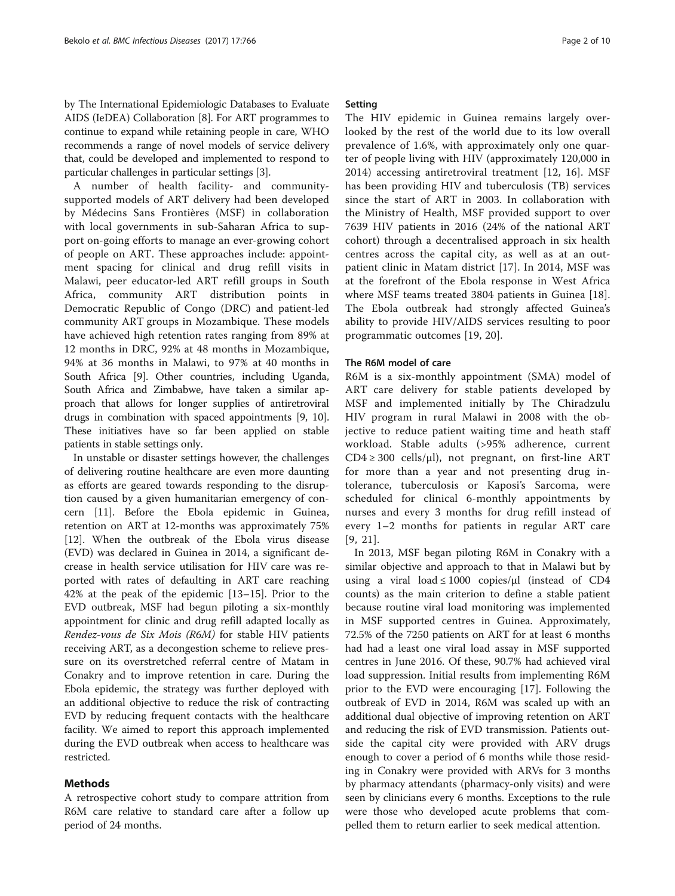by The International Epidemiologic Databases to Evaluate AIDS (IeDEA) Collaboration [\[8\]](#page-8-0). For ART programmes to continue to expand while retaining people in care, WHO recommends a range of novel models of service delivery that, could be developed and implemented to respond to particular challenges in particular settings [\[3\]](#page-8-0).

A number of health facility- and communitysupported models of ART delivery had been developed by Médecins Sans Frontières (MSF) in collaboration with local governments in sub-Saharan Africa to support on-going efforts to manage an ever-growing cohort of people on ART. These approaches include: appointment spacing for clinical and drug refill visits in Malawi, peer educator-led ART refill groups in South Africa, community ART distribution points in Democratic Republic of Congo (DRC) and patient-led community ART groups in Mozambique. These models have achieved high retention rates ranging from 89% at 12 months in DRC, 92% at 48 months in Mozambique, 94% at 36 months in Malawi, to 97% at 40 months in South Africa [[9\]](#page-8-0). Other countries, including Uganda, South Africa and Zimbabwe, have taken a similar approach that allows for longer supplies of antiretroviral drugs in combination with spaced appointments [[9](#page-8-0), [10](#page-8-0)]. These initiatives have so far been applied on stable patients in stable settings only.

In unstable or disaster settings however, the challenges of delivering routine healthcare are even more daunting as efforts are geared towards responding to the disruption caused by a given humanitarian emergency of concern [\[11](#page-9-0)]. Before the Ebola epidemic in Guinea, retention on ART at 12-months was approximately 75% [[12\]](#page-9-0). When the outbreak of the Ebola virus disease (EVD) was declared in Guinea in 2014, a significant decrease in health service utilisation for HIV care was reported with rates of defaulting in ART care reaching 42% at the peak of the epidemic [[13](#page-9-0)–[15](#page-9-0)]. Prior to the EVD outbreak, MSF had begun piloting a six-monthly appointment for clinic and drug refill adapted locally as Rendez-vous de Six Mois (R6M) for stable HIV patients receiving ART, as a decongestion scheme to relieve pressure on its overstretched referral centre of Matam in Conakry and to improve retention in care. During the Ebola epidemic, the strategy was further deployed with an additional objective to reduce the risk of contracting EVD by reducing frequent contacts with the healthcare facility. We aimed to report this approach implemented during the EVD outbreak when access to healthcare was restricted.

# Methods

A retrospective cohort study to compare attrition from R6M care relative to standard care after a follow up period of 24 months.

# Setting

The HIV epidemic in Guinea remains largely overlooked by the rest of the world due to its low overall prevalence of 1.6%, with approximately only one quarter of people living with HIV (approximately 120,000 in 2014) accessing antiretroviral treatment [[12, 16](#page-9-0)]. MSF has been providing HIV and tuberculosis (TB) services since the start of ART in 2003. In collaboration with the Ministry of Health, MSF provided support to over 7639 HIV patients in 2016 (24% of the national ART cohort) through a decentralised approach in six health centres across the capital city, as well as at an outpatient clinic in Matam district [[17\]](#page-9-0). In 2014, MSF was at the forefront of the Ebola response in West Africa where MSF teams treated 3804 patients in Guinea [[18](#page-9-0)]. The Ebola outbreak had strongly affected Guinea's ability to provide HIV/AIDS services resulting to poor programmatic outcomes [[19](#page-9-0), [20](#page-9-0)].

## The R6M model of care

R6M is a six-monthly appointment (SMA) model of ART care delivery for stable patients developed by MSF and implemented initially by The Chiradzulu HIV program in rural Malawi in 2008 with the objective to reduce patient waiting time and heath staff workload. Stable adults (>95% adherence, current  $CD4 \geq 300$  cells/ $\mu$ l), not pregnant, on first-line ART for more than a year and not presenting drug intolerance, tuberculosis or Kaposi's Sarcoma, were scheduled for clinical 6-monthly appointments by nurses and every 3 months for drug refill instead of every 1–2 months for patients in regular ART care [[9](#page-8-0), [21](#page-9-0)].

In 2013, MSF began piloting R6M in Conakry with a similar objective and approach to that in Malawi but by using a viral load ≤ 1000 copies/μl (instead of CD4 counts) as the main criterion to define a stable patient because routine viral load monitoring was implemented in MSF supported centres in Guinea. Approximately, 72.5% of the 7250 patients on ART for at least 6 months had had a least one viral load assay in MSF supported centres in June 2016. Of these, 90.7% had achieved viral load suppression. Initial results from implementing R6M prior to the EVD were encouraging [\[17](#page-9-0)]. Following the outbreak of EVD in 2014, R6M was scaled up with an additional dual objective of improving retention on ART and reducing the risk of EVD transmission. Patients outside the capital city were provided with ARV drugs enough to cover a period of 6 months while those residing in Conakry were provided with ARVs for 3 months by pharmacy attendants (pharmacy-only visits) and were seen by clinicians every 6 months. Exceptions to the rule were those who developed acute problems that compelled them to return earlier to seek medical attention.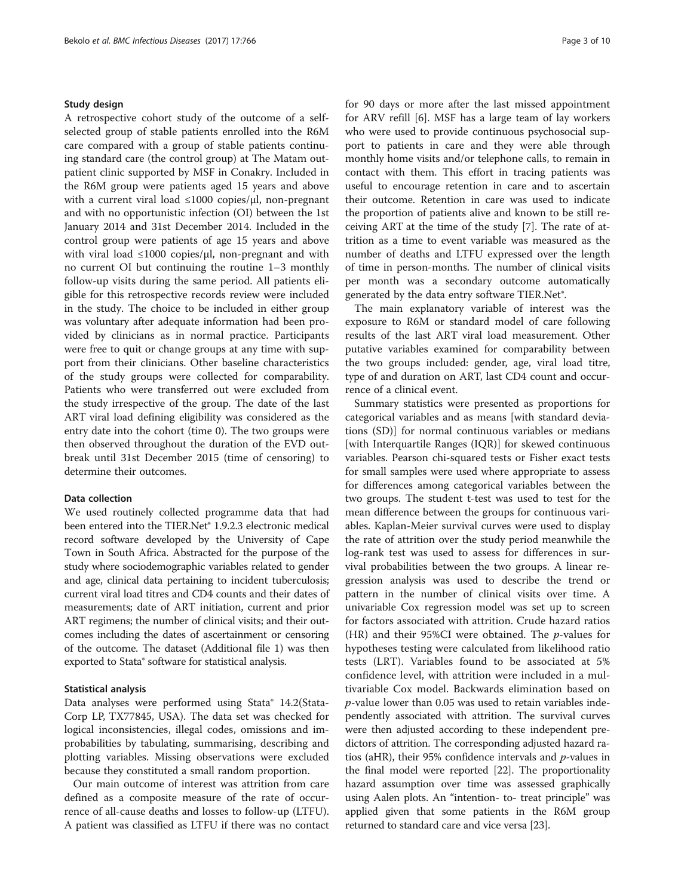## Study design

A retrospective cohort study of the outcome of a selfselected group of stable patients enrolled into the R6M care compared with a group of stable patients continuing standard care (the control group) at The Matam outpatient clinic supported by MSF in Conakry. Included in the R6M group were patients aged 15 years and above with a current viral load ≤1000 copies/μl, non-pregnant and with no opportunistic infection (OI) between the 1st January 2014 and 31st December 2014. Included in the control group were patients of age 15 years and above with viral load ≤1000 copies/μl, non-pregnant and with no current OI but continuing the routine 1–3 monthly follow-up visits during the same period. All patients eligible for this retrospective records review were included in the study. The choice to be included in either group was voluntary after adequate information had been provided by clinicians as in normal practice. Participants were free to quit or change groups at any time with support from their clinicians. Other baseline characteristics of the study groups were collected for comparability. Patients who were transferred out were excluded from the study irrespective of the group. The date of the last ART viral load defining eligibility was considered as the entry date into the cohort (time 0). The two groups were then observed throughout the duration of the EVD outbreak until 31st December 2015 (time of censoring) to determine their outcomes.

## Data collection

We used routinely collected programme data that had been entered into the TIER.Net® 1.9.2.3 electronic medical record software developed by the University of Cape Town in South Africa. Abstracted for the purpose of the study where sociodemographic variables related to gender and age, clinical data pertaining to incident tuberculosis; current viral load titres and CD4 counts and their dates of measurements; date of ART initiation, current and prior ART regimens; the number of clinical visits; and their outcomes including the dates of ascertainment or censoring of the outcome. The dataset (Additional file [1](#page-8-0)) was then exported to Stata® software for statistical analysis.

## Statistical analysis

Data analyses were performed using Stata® 14.2(Stata-Corp LP, TX77845, USA). The data set was checked for logical inconsistencies, illegal codes, omissions and improbabilities by tabulating, summarising, describing and plotting variables. Missing observations were excluded because they constituted a small random proportion.

Our main outcome of interest was attrition from care defined as a composite measure of the rate of occurrence of all-cause deaths and losses to follow-up (LTFU). A patient was classified as LTFU if there was no contact for 90 days or more after the last missed appointment for ARV refill [\[6](#page-8-0)]. MSF has a large team of lay workers who were used to provide continuous psychosocial support to patients in care and they were able through monthly home visits and/or telephone calls, to remain in contact with them. This effort in tracing patients was useful to encourage retention in care and to ascertain their outcome. Retention in care was used to indicate the proportion of patients alive and known to be still receiving ART at the time of the study [[7\]](#page-8-0). The rate of attrition as a time to event variable was measured as the number of deaths and LTFU expressed over the length of time in person-months. The number of clinical visits per month was a secondary outcome automatically generated by the data entry software TIER.Net®.

The main explanatory variable of interest was the exposure to R6M or standard model of care following results of the last ART viral load measurement. Other putative variables examined for comparability between the two groups included: gender, age, viral load titre, type of and duration on ART, last CD4 count and occurrence of a clinical event.

Summary statistics were presented as proportions for categorical variables and as means [with standard deviations (SD)] for normal continuous variables or medians [with Interquartile Ranges (IQR)] for skewed continuous variables. Pearson chi-squared tests or Fisher exact tests for small samples were used where appropriate to assess for differences among categorical variables between the two groups. The student t-test was used to test for the mean difference between the groups for continuous variables. Kaplan-Meier survival curves were used to display the rate of attrition over the study period meanwhile the log-rank test was used to assess for differences in survival probabilities between the two groups. A linear regression analysis was used to describe the trend or pattern in the number of clinical visits over time. A univariable Cox regression model was set up to screen for factors associated with attrition. Crude hazard ratios (HR) and their 95%CI were obtained. The  $p$ -values for hypotheses testing were calculated from likelihood ratio tests (LRT). Variables found to be associated at 5% confidence level, with attrition were included in a multivariable Cox model. Backwards elimination based on  $p$ -value lower than 0.05 was used to retain variables independently associated with attrition. The survival curves were then adjusted according to these independent predictors of attrition. The corresponding adjusted hazard ratios (aHR), their 95% confidence intervals and  $p$ -values in the final model were reported [[22](#page-9-0)]. The proportionality hazard assumption over time was assessed graphically using Aalen plots. An "intention- to- treat principle" was applied given that some patients in the R6M group returned to standard care and vice versa [[23](#page-9-0)].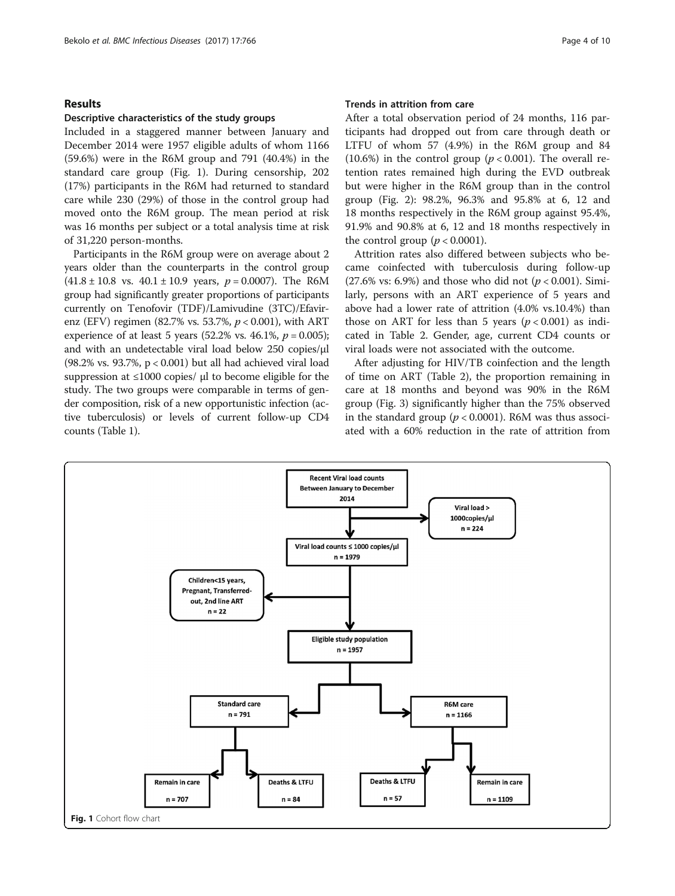# Results

## Descriptive characteristics of the study groups

Included in a staggered manner between January and December 2014 were 1957 eligible adults of whom 1166 (59.6%) were in the R6M group and 791 (40.4%) in the standard care group (Fig. 1). During censorship, 202 (17%) participants in the R6M had returned to standard care while 230 (29%) of those in the control group had moved onto the R6M group. The mean period at risk was 16 months per subject or a total analysis time at risk of 31,220 person-months.

Participants in the R6M group were on average about 2 years older than the counterparts in the control group  $(41.8 \pm 10.8 \text{ vs. } 40.1 \pm 10.9 \text{ years}, p = 0.0007)$ . The R6M group had significantly greater proportions of participants currently on Tenofovir (TDF)/Lamivudine (3TC)/Efavirenz (EFV) regimen (82.7% vs. 53.7%,  $p < 0.001$ ), with ART experience of at least 5 years (52.2% vs. 46.1%,  $p = 0.005$ ); and with an undetectable viral load below 250 copies/μl (98.2% vs. 93.7%, p < 0.001) but all had achieved viral load suppression at ≤1000 copies/ μl to become eligible for the study. The two groups were comparable in terms of gender composition, risk of a new opportunistic infection (active tuberculosis) or levels of current follow-up CD4 counts (Table [1](#page-4-0)).

# Trends in attrition from care

After a total observation period of 24 months, 116 participants had dropped out from care through death or LTFU of whom 57 (4.9%) in the R6M group and 84 (10.6%) in the control group ( $p < 0.001$ ). The overall retention rates remained high during the EVD outbreak but were higher in the R6M group than in the control group (Fig. [2](#page-5-0)): 98.2%, 96.3% and 95.8% at 6, 12 and 18 months respectively in the R6M group against 95.4%, 91.9% and 90.8% at 6, 12 and 18 months respectively in the control group ( $p < 0.0001$ ).

Attrition rates also differed between subjects who became coinfected with tuberculosis during follow-up (27.6% vs: 6.9%) and those who did not ( $p < 0.001$ ). Similarly, persons with an ART experience of 5 years and above had a lower rate of attrition (4.0% vs.10.4%) than those on ART for less than 5 years ( $p < 0.001$ ) as indicated in Table [2.](#page-5-0) Gender, age, current CD4 counts or viral loads were not associated with the outcome.

After adjusting for HIV/TB coinfection and the length of time on ART (Table [2\)](#page-5-0), the proportion remaining in care at 18 months and beyond was 90% in the R6M group (Fig. [3\)](#page-6-0) significantly higher than the 75% observed in the standard group ( $p < 0.0001$ ). R6M was thus associated with a 60% reduction in the rate of attrition from

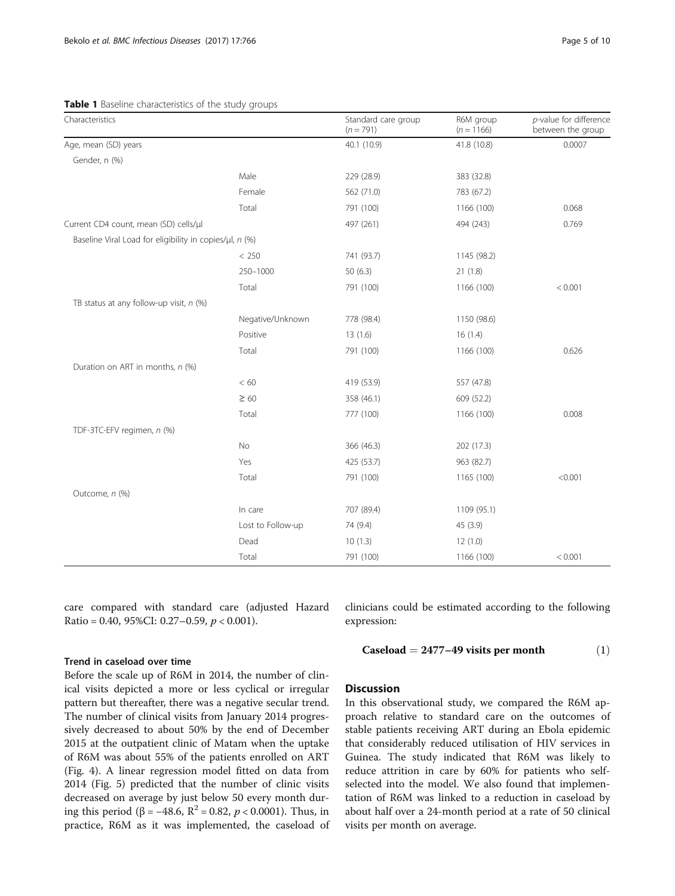## <span id="page-4-0"></span>Table 1 Baseline characteristics of the study groups

| Characteristics                                         |                   | Standard care group<br>$(n = 791)$ | R6M group<br>$(n = 1166)$ | p-value for difference<br>between the group |
|---------------------------------------------------------|-------------------|------------------------------------|---------------------------|---------------------------------------------|
| Age, mean (SD) years                                    |                   | 40.1 (10.9)                        | 41.8 (10.8)               | 0.0007                                      |
| Gender, n (%)                                           |                   |                                    |                           |                                             |
|                                                         | Male              | 229 (28.9)                         | 383 (32.8)                |                                             |
|                                                         | Female            | 562 (71.0)                         | 783 (67.2)                |                                             |
|                                                         | Total             | 791 (100)                          | 1166 (100)                | 0.068                                       |
| Current CD4 count, mean (SD) cells/µl                   |                   | 497 (261)                          | 494 (243)                 | 0.769                                       |
| Baseline Viral Load for eligibility in copies/µl, n (%) |                   |                                    |                           |                                             |
|                                                         | < 250             | 741 (93.7)                         | 1145 (98.2)               |                                             |
|                                                         | 250-1000          | 50(6.3)                            | 21(1.8)                   |                                             |
|                                                         | Total             | 791 (100)                          | 1166 (100)                | < 0.001                                     |
| TB status at any follow-up visit, $n$ (%)               |                   |                                    |                           |                                             |
|                                                         | Negative/Unknown  | 778 (98.4)                         | 1150 (98.6)               |                                             |
|                                                         | Positive          | 13(1.6)                            | 16(1.4)                   |                                             |
|                                                         | Total             | 791 (100)                          | 1166 (100)                | 0.626                                       |
| Duration on ART in months, n (%)                        |                   |                                    |                           |                                             |
|                                                         | < 60              | 419 (53.9)                         | 557 (47.8)                |                                             |
|                                                         | $\geq 60$         | 358 (46.1)                         | 609 (52.2)                |                                             |
|                                                         | Total             | 777 (100)                          | 1166 (100)                | 0.008                                       |
| TDF-3TC-EFV regimen, n (%)                              |                   |                                    |                           |                                             |
|                                                         | No                | 366 (46.3)                         | 202 (17.3)                |                                             |
|                                                         | Yes               | 425 (53.7)                         | 963 (82.7)                |                                             |
|                                                         | Total             | 791 (100)                          | 1165 (100)                | < 0.001                                     |
| Outcome, n (%)                                          |                   |                                    |                           |                                             |
|                                                         | In care           | 707 (89.4)                         | 1109 (95.1)               |                                             |
|                                                         | Lost to Follow-up | 74 (9.4)                           | 45 (3.9)                  |                                             |
|                                                         | Dead              | 10(1.3)                            | 12(1.0)                   |                                             |
|                                                         | Total             | 791 (100)                          | 1166 (100)                | < 0.001                                     |

care compared with standard care (adjusted Hazard Ratio = 0.40, 95%CI: 0.27–0.59,  $p < 0.001$ ).

# Trend in caseload over time

Before the scale up of R6M in 2014, the number of clinical visits depicted a more or less cyclical or irregular pattern but thereafter, there was a negative secular trend. The number of clinical visits from January 2014 progressively decreased to about 50% by the end of December 2015 at the outpatient clinic of Matam when the uptake of R6M was about 55% of the patients enrolled on ART (Fig. [4\)](#page-6-0). A linear regression model fitted on data from 2014 (Fig. [5](#page-7-0)) predicted that the number of clinic visits decreased on average by just below 50 every month during this period (β = −48.6, R<sup>2</sup> = 0.82, *p* < 0.0001). Thus, in practice, R6M as it was implemented, the caseload of clinicians could be estimated according to the following expression:

$$
\textbf{Caseload} = \textbf{2477-49} \text{ visits per month} \tag{1}
$$

# **Discussion**

In this observational study, we compared the R6M approach relative to standard care on the outcomes of stable patients receiving ART during an Ebola epidemic that considerably reduced utilisation of HIV services in Guinea. The study indicated that R6M was likely to reduce attrition in care by 60% for patients who selfselected into the model. We also found that implementation of R6M was linked to a reduction in caseload by about half over a 24-month period at a rate of 50 clinical visits per month on average.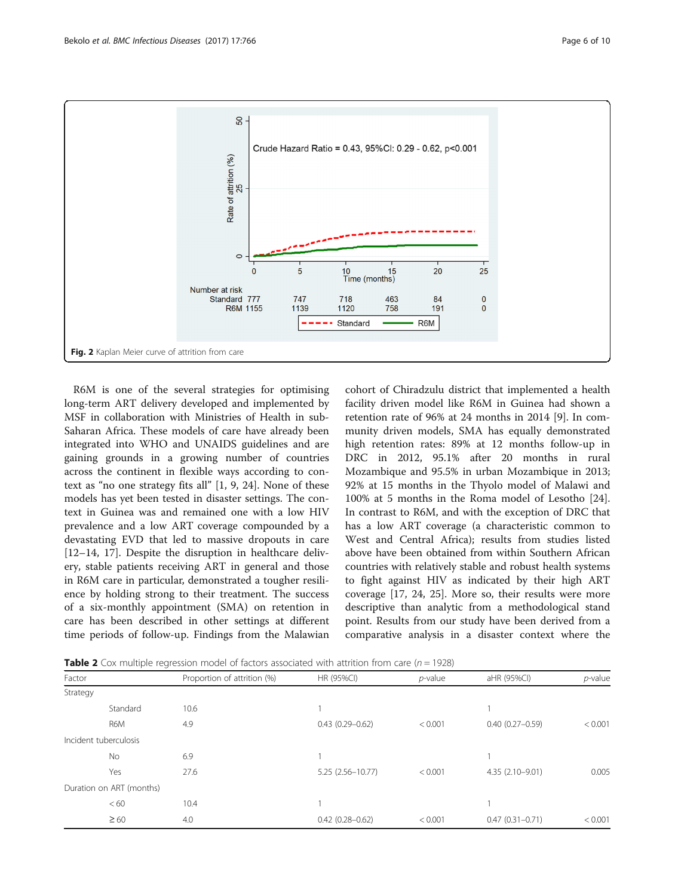<span id="page-5-0"></span>

R6M is one of the several strategies for optimising long-term ART delivery developed and implemented by MSF in collaboration with Ministries of Health in sub-Saharan Africa. These models of care have already been integrated into WHO and UNAIDS guidelines and are gaining grounds in a growing number of countries across the continent in flexible ways according to context as "no one strategy fits all" [\[1](#page-8-0), [9,](#page-8-0) [24\]](#page-9-0). None of these models has yet been tested in disaster settings. The context in Guinea was and remained one with a low HIV prevalence and a low ART coverage compounded by a devastating EVD that led to massive dropouts in care [[12](#page-9-0)–[14](#page-9-0), [17\]](#page-9-0). Despite the disruption in healthcare delivery, stable patients receiving ART in general and those in R6M care in particular, demonstrated a tougher resilience by holding strong to their treatment. The success of a six-monthly appointment (SMA) on retention in care has been described in other settings at different time periods of follow-up. Findings from the Malawian cohort of Chiradzulu district that implemented a health facility driven model like R6M in Guinea had shown a retention rate of 96% at 24 months in 2014 [[9\]](#page-8-0). In community driven models, SMA has equally demonstrated high retention rates: 89% at 12 months follow-up in DRC in 2012, 95.1% after 20 months in rural Mozambique and 95.5% in urban Mozambique in 2013; 92% at 15 months in the Thyolo model of Malawi and 100% at 5 months in the Roma model of Lesotho [\[24](#page-9-0)]. In contrast to R6M, and with the exception of DRC that has a low ART coverage (a characteristic common to West and Central Africa); results from studies listed above have been obtained from within Southern African countries with relatively stable and robust health systems to fight against HIV as indicated by their high ART coverage [\[17](#page-9-0), [24](#page-9-0), [25](#page-9-0)]. More so, their results were more descriptive than analytic from a methodological stand point. Results from our study have been derived from a comparative analysis in a disaster context where the

**Table 2** Cox multiple regression model of factors associated with attrition from care ( $n = 1928$ )

| Factor   |                          | Proportion of attrition (%) | HR (95%CI)           | $p$ -value | aHR (95%CI)         | $p$ -value |
|----------|--------------------------|-----------------------------|----------------------|------------|---------------------|------------|
| Strategy |                          |                             |                      |            |                     |            |
|          | Standard                 | 10.6                        |                      |            |                     |            |
|          | R6M                      | 4.9                         | $0.43(0.29 - 0.62)$  | < 0.001    | $0.40(0.27 - 0.59)$ | < 0.001    |
|          | Incident tuberculosis    |                             |                      |            |                     |            |
|          | <b>No</b>                | 6.9                         |                      |            |                     |            |
|          | Yes                      | 27.6                        | $5.25(2.56 - 10.77)$ | < 0.001    | $4.35(2.10-9.01)$   | 0.005      |
|          | Duration on ART (months) |                             |                      |            |                     |            |
|          | < 60                     | 10.4                        |                      |            |                     |            |
|          | $\geq 60$                | 4.0                         | $0.42(0.28 - 0.62)$  | < 0.001    | $0.47(0.31 - 0.71)$ | < 0.001    |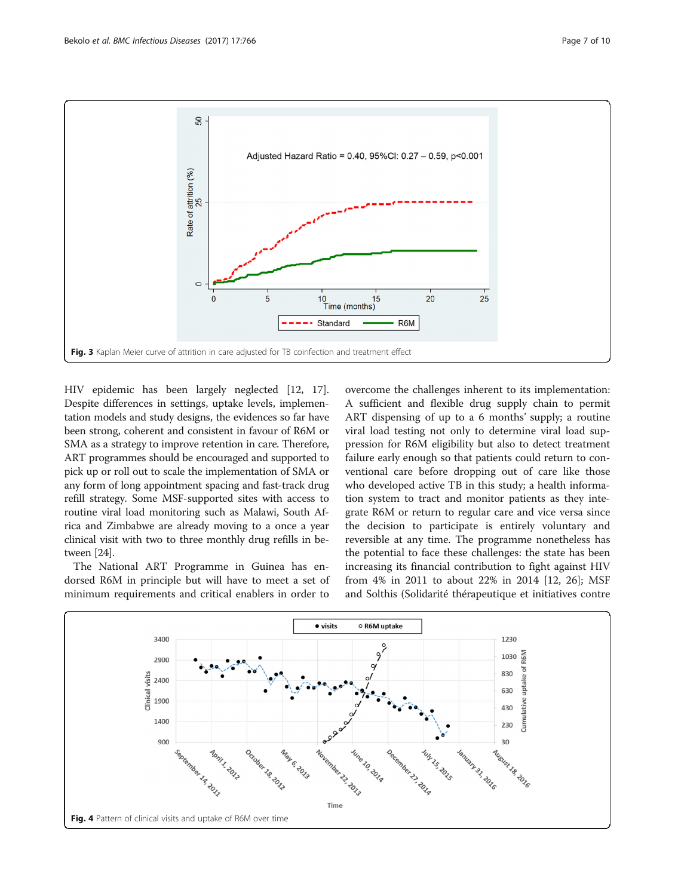<span id="page-6-0"></span>

HIV epidemic has been largely neglected [\[12, 17](#page-9-0)]. Despite differences in settings, uptake levels, implementation models and study designs, the evidences so far have been strong, coherent and consistent in favour of R6M or SMA as a strategy to improve retention in care. Therefore, ART programmes should be encouraged and supported to pick up or roll out to scale the implementation of SMA or any form of long appointment spacing and fast-track drug refill strategy. Some MSF-supported sites with access to routine viral load monitoring such as Malawi, South Africa and Zimbabwe are already moving to a once a year clinical visit with two to three monthly drug refills in between [\[24\]](#page-9-0).

The National ART Programme in Guinea has endorsed R6M in principle but will have to meet a set of minimum requirements and critical enablers in order to overcome the challenges inherent to its implementation: A sufficient and flexible drug supply chain to permit ART dispensing of up to a 6 months' supply; a routine viral load testing not only to determine viral load suppression for R6M eligibility but also to detect treatment failure early enough so that patients could return to conventional care before dropping out of care like those who developed active TB in this study; a health information system to tract and monitor patients as they integrate R6M or return to regular care and vice versa since the decision to participate is entirely voluntary and reversible at any time. The programme nonetheless has the potential to face these challenges: the state has been increasing its financial contribution to fight against HIV from 4% in 2011 to about 22% in 2014 [\[12](#page-9-0), [26\]](#page-9-0); MSF and Solthis (Solidarité thérapeutique et initiatives contre

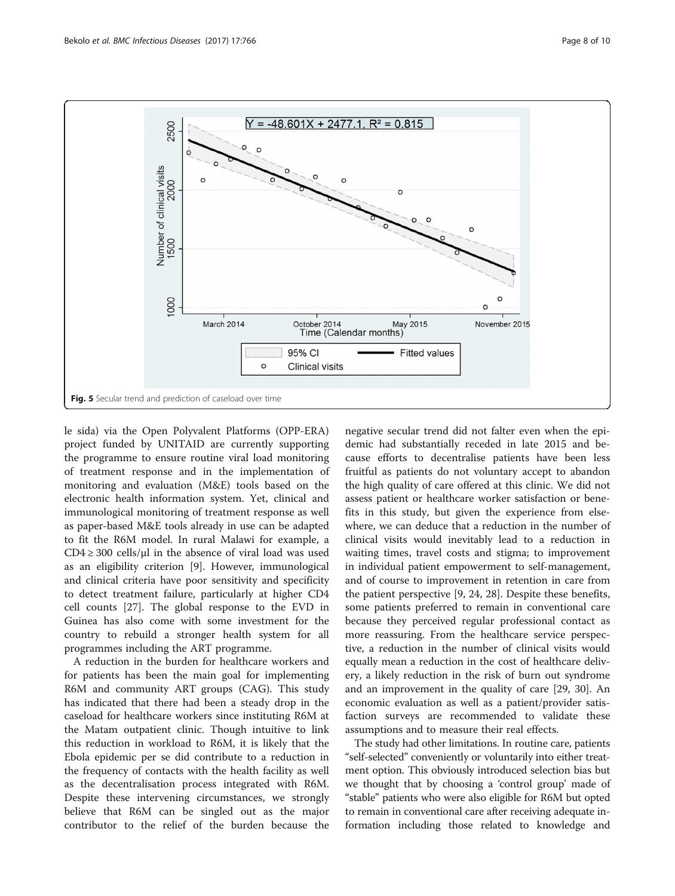<span id="page-7-0"></span>

le sida) via the Open Polyvalent Platforms (OPP-ERA) project funded by UNITAID are currently supporting the programme to ensure routine viral load monitoring of treatment response and in the implementation of monitoring and evaluation (M&E) tools based on the electronic health information system. Yet, clinical and immunological monitoring of treatment response as well as paper-based M&E tools already in use can be adapted to fit the R6M model. In rural Malawi for example, a  $CD4 \geq 300$  cells/ $\mu$ l in the absence of viral load was used as an eligibility criterion [[9\]](#page-8-0). However, immunological and clinical criteria have poor sensitivity and specificity to detect treatment failure, particularly at higher CD4 cell counts [\[27\]](#page-9-0). The global response to the EVD in Guinea has also come with some investment for the country to rebuild a stronger health system for all programmes including the ART programme.

A reduction in the burden for healthcare workers and for patients has been the main goal for implementing R6M and community ART groups (CAG). This study has indicated that there had been a steady drop in the caseload for healthcare workers since instituting R6M at the Matam outpatient clinic. Though intuitive to link this reduction in workload to R6M, it is likely that the Ebola epidemic per se did contribute to a reduction in the frequency of contacts with the health facility as well as the decentralisation process integrated with R6M. Despite these intervening circumstances, we strongly believe that R6M can be singled out as the major contributor to the relief of the burden because the

negative secular trend did not falter even when the epidemic had substantially receded in late 2015 and because efforts to decentralise patients have been less fruitful as patients do not voluntary accept to abandon the high quality of care offered at this clinic. We did not assess patient or healthcare worker satisfaction or benefits in this study, but given the experience from elsewhere, we can deduce that a reduction in the number of clinical visits would inevitably lead to a reduction in waiting times, travel costs and stigma; to improvement in individual patient empowerment to self-management, and of course to improvement in retention in care from the patient perspective [[9,](#page-8-0) [24, 28\]](#page-9-0). Despite these benefits, some patients preferred to remain in conventional care because they perceived regular professional contact as more reassuring. From the healthcare service perspective, a reduction in the number of clinical visits would equally mean a reduction in the cost of healthcare delivery, a likely reduction in the risk of burn out syndrome and an improvement in the quality of care [\[29](#page-9-0), [30](#page-9-0)]. An economic evaluation as well as a patient/provider satisfaction surveys are recommended to validate these assumptions and to measure their real effects.

The study had other limitations. In routine care, patients "self-selected" conveniently or voluntarily into either treatment option. This obviously introduced selection bias but we thought that by choosing a 'control group' made of "stable" patients who were also eligible for R6M but opted to remain in conventional care after receiving adequate information including those related to knowledge and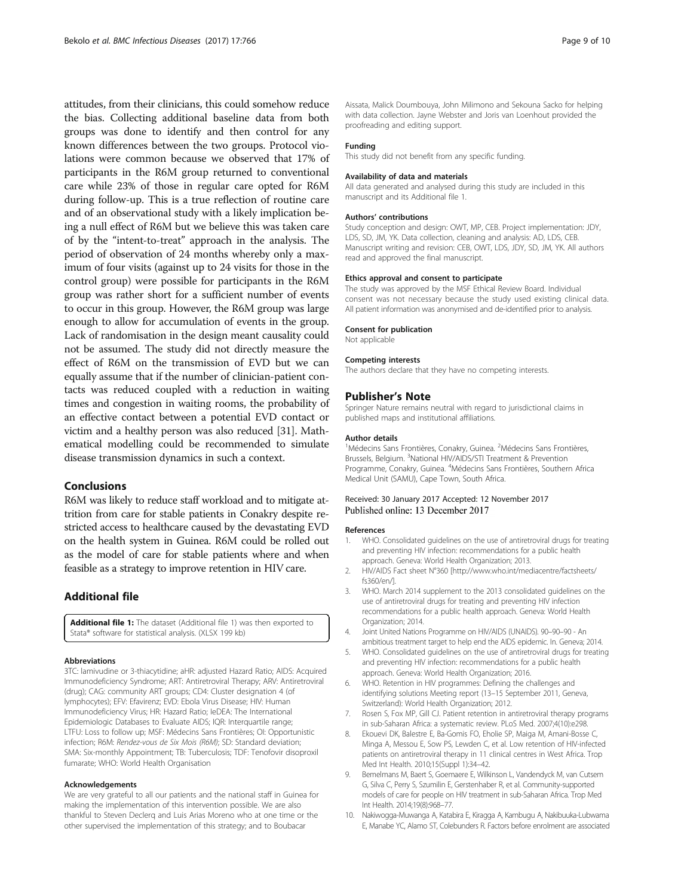<span id="page-8-0"></span>attitudes, from their clinicians, this could somehow reduce the bias. Collecting additional baseline data from both groups was done to identify and then control for any known differences between the two groups. Protocol violations were common because we observed that 17% of participants in the R6M group returned to conventional care while 23% of those in regular care opted for R6M during follow-up. This is a true reflection of routine care and of an observational study with a likely implication being a null effect of R6M but we believe this was taken care of by the "intent-to-treat" approach in the analysis. The period of observation of 24 months whereby only a maximum of four visits (against up to 24 visits for those in the control group) were possible for participants in the R6M group was rather short for a sufficient number of events to occur in this group. However, the R6M group was large enough to allow for accumulation of events in the group. Lack of randomisation in the design meant causality could not be assumed. The study did not directly measure the effect of R6M on the transmission of EVD but we can equally assume that if the number of clinician-patient contacts was reduced coupled with a reduction in waiting times and congestion in waiting rooms, the probability of an effective contact between a potential EVD contact or victim and a healthy person was also reduced [\[31](#page-9-0)]. Mathematical modelling could be recommended to simulate disease transmission dynamics in such a context.

# Conclusions

R6M was likely to reduce staff workload and to mitigate attrition from care for stable patients in Conakry despite restricted access to healthcare caused by the devastating EVD on the health system in Guinea. R6M could be rolled out as the model of care for stable patients where and when feasible as a strategy to improve retention in HIV care.

# Additional file

[Additional file 1:](dx.doi.org/10.1186/s12879-017-2826-6) The dataset (Additional file 1) was then exported to Stata® software for statistical analysis. (XLSX 199 kb)

## Abbreviations

3TC: lamivudine or 3-thiacytidine; aHR: adjusted Hazard Ratio; AIDS: Acquired Immunodeficiency Syndrome; ART: Antiretroviral Therapy; ARV: Antiretroviral (drug); CAG: community ART groups; CD4: Cluster designation 4 (of lymphocytes); EFV: Efavirenz; EVD: Ebola Virus Disease; HIV: Human Immunodeficiency Virus; HR: Hazard Ratio; IeDEA: The International Epidemiologic Databases to Evaluate AIDS; IQR: Interquartile range; LTFU: Loss to follow up; MSF: Médecins Sans Frontières; OI: Opportunistic infection; R6M: Rendez-vous de Six Mois (R6M); SD: Standard deviation; SMA: Six-monthly Appointment; TB: Tuberculosis; TDF: Tenofovir disoproxil fumarate; WHO: World Health Organisation

## Acknowledgements

We are very grateful to all our patients and the national staff in Guinea for making the implementation of this intervention possible. We are also thankful to Steven Declerq and Luis Arias Moreno who at one time or the other supervised the implementation of this strategy; and to Boubacar

Aissata, Malick Doumbouya, John Milimono and Sekouna Sacko for helping with data collection. Jayne Webster and Joris van Loenhout provided the proofreading and editing support.

## Funding

This study did not benefit from any specific funding.

## Availability of data and materials

All data generated and analysed during this study are included in this manuscript and its Additional file 1.

## Authors' contributions

Study conception and design: OWT, MP, CEB. Project implementation: JDY, LDS, SD, JM, YK. Data collection, cleaning and analysis: AD, LDS, CEB. Manuscript writing and revision: CEB, OWT, LDS, JDY, SD, JM, YK. All authors read and approved the final manuscript.

## Ethics approval and consent to participate

The study was approved by the MSF Ethical Review Board. Individual consent was not necessary because the study used existing clinical data. All patient information was anonymised and de-identified prior to analysis.

## Consent for publication

Not applicable

## Competing interests

The authors declare that they have no competing interests.

## Publisher's Note

Springer Nature remains neutral with regard to jurisdictional claims in published maps and institutional affiliations.

## Author details

<sup>1</sup> Médecins Sans Frontières, Conakry, Guinea. <sup>2</sup> Médecins Sans Frontières, Brussels, Belgium. <sup>3</sup>National HIV/AIDS/STI Treatment & Prevention Programme, Conakry, Guinea. <sup>4</sup>Médecins Sans Frontières, Southern Africa Medical Unit (SAMU), Cape Town, South Africa.

# Received: 30 January 2017 Accepted: 12 November 2017 Published online: 13 December 2017

#### References

- 1. WHO. Consolidated guidelines on the use of antiretroviral drugs for treating and preventing HIV infection: recommendations for a public health approach. Geneva: World Health Organization; 2013.
- 2. HIV/AIDS Fact sheet N°360 [[http://www.who.int/mediacentre/factsheets/](http://www.who.int/mediacentre/factsheets/fs360/en/) [fs360/en/\]](http://www.who.int/mediacentre/factsheets/fs360/en/).
- 3. WHO. March 2014 supplement to the 2013 consolidated guidelines on the use of antiretroviral drugs for treating and preventing HIV infection recommendations for a public health approach. Geneva: World Health Organization; 2014.
- 4. Joint United Nations Programme on HIV/AIDS (UNAIDS). 90–90–90 An ambitious treatment target to help end the AIDS epidemic. In. Geneva; 2014.
- 5. WHO. Consolidated guidelines on the use of antiretroviral drugs for treating and preventing HIV infection: recommendations for a public health approach. Geneva: World Health Organization; 2016.
- 6. WHO. Retention in HIV programmes: Defining the challenges and identifying solutions Meeting report (13–15 September 2011, Geneva, Switzerland): World Health Organization; 2012.
- 7. Rosen S, Fox MP, Gill CJ. Patient retention in antiretroviral therapy programs in sub-Saharan Africa: a systematic review. PLoS Med. 2007;4(10):e298.
- Ekouevi DK, Balestre E, Ba-Gomis FO, Eholie SP, Maiga M, Amani-Bosse C, Minga A, Messou E, Sow PS, Lewden C, et al. Low retention of HIV-infected patients on antiretroviral therapy in 11 clinical centres in West Africa. Trop Med Int Health. 2010;15(Suppl 1):34–42.
- 9. Bemelmans M, Baert S, Goemaere E, Wilkinson L, Vandendyck M, van Cutsem G, Silva C, Perry S, Szumilin E, Gerstenhaber R, et al. Community-supported models of care for people on HIV treatment in sub-Saharan Africa. Trop Med Int Health. 2014;19(8):968–77.
- 10. Nakiwogga-Muwanga A, Katabira E, Kiragga A, Kambugu A, Nakibuuka-Lubwama E, Manabe YC, Alamo ST, Colebunders R. Factors before enrolment are associated